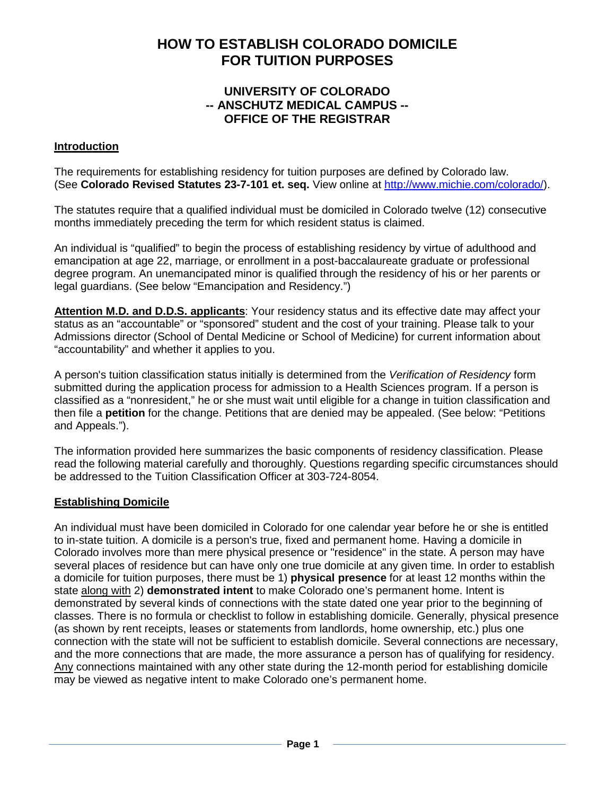# **HOW TO ESTABLISH COLORADO DOMICILE FOR TUITION PURPOSES**

# **UNIVERSITY OF COLORADO -- ANSCHUTZ MEDICAL CAMPUS -- OFFICE OF THE REGISTRAR**

#### **Introduction**

The requirements for establishing residency for tuition purposes are defined by Colorado law. (See **Colorado Revised Statutes 23-7-101 et. seq.** View online at [http://www.michie.com/colorado/\)](http://www.michie.com/colorado/).

The statutes require that a qualified individual must be domiciled in Colorado twelve (12) consecutive months immediately preceding the term for which resident status is claimed.

An individual is "qualified" to begin the process of establishing residency by virtue of adulthood and emancipation at age 22, marriage, or enrollment in a post-baccalaureate graduate or professional degree program. An unemancipated minor is qualified through the residency of his or her parents or legal guardians. (See below "Emancipation and Residency.")

**Attention M.D. and D.D.S. applicants**: Your residency status and its effective date may affect your status as an "accountable" or "sponsored" student and the cost of your training. Please talk to your Admissions director (School of Dental Medicine or School of Medicine) for current information about "accountability" and whether it applies to you.

A person's tuition classification status initially is determined from the *Verification of Residency* form submitted during the application process for admission to a Health Sciences program. If a person is classified as a "nonresident," he or she must wait until eligible for a change in tuition classification and then file a **petition** for the change. Petitions that are denied may be appealed. (See below: "Petitions and Appeals.").

The information provided here summarizes the basic components of residency classification. Please read the following material carefully and thoroughly. Questions regarding specific circumstances should be addressed to the Tuition Classification Officer at 303-724-8054.

#### **Establishing Domicile**

An individual must have been domiciled in Colorado for one calendar year before he or she is entitled to in-state tuition. A domicile is a person's true, fixed and permanent home. Having a domicile in Colorado involves more than mere physical presence or "residence" in the state. A person may have several places of residence but can have only one true domicile at any given time. In order to establish a domicile for tuition purposes, there must be 1) **physical presence** for at least 12 months within the state along with 2) **demonstrated intent** to make Colorado one's permanent home. Intent is demonstrated by several kinds of connections with the state dated one year prior to the beginning of classes. There is no formula or checklist to follow in establishing domicile. Generally, physical presence (as shown by rent receipts, leases or statements from landlords, home ownership, etc.) plus one connection with the state will not be sufficient to establish domicile. Several connections are necessary, and the more connections that are made, the more assurance a person has of qualifying for residency. Any connections maintained with any other state during the 12-month period for establishing domicile may be viewed as negative intent to make Colorado one's permanent home.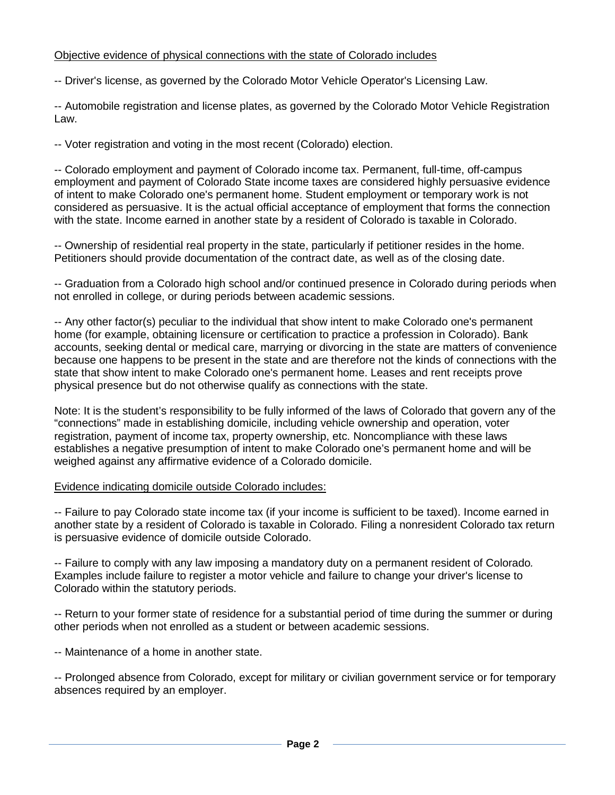#### Objective evidence of physical connections with the state of Colorado includes

-- Driver's license, as governed by the Colorado Motor Vehicle Operator's Licensing Law.

-- Automobile registration and license plates, as governed by the Colorado Motor Vehicle Registration Law.

-- Voter registration and voting in the most recent (Colorado) election.

-- Colorado employment and payment of Colorado income tax. Permanent, full-time, off-campus employment and payment of Colorado State income taxes are considered highly persuasive evidence of intent to make Colorado one's permanent home. Student employment or temporary work is not considered as persuasive. It is the actual official acceptance of employment that forms the connection with the state. Income earned in another state by a resident of Colorado is taxable in Colorado.

-- Ownership of residential real property in the state, particularly if petitioner resides in the home. Petitioners should provide documentation of the contract date, as well as of the closing date.

-- Graduation from a Colorado high school and/or continued presence in Colorado during periods when not enrolled in college, or during periods between academic sessions.

-- Any other factor(s) peculiar to the individual that show intent to make Colorado one's permanent home (for example, obtaining licensure or certification to practice a profession in Colorado). Bank accounts, seeking dental or medical care, marrying or divorcing in the state are matters of convenience because one happens to be present in the state and are therefore not the kinds of connections with the state that show intent to make Colorado one's permanent home. Leases and rent receipts prove physical presence but do not otherwise qualify as connections with the state.

Note: It is the student's responsibility to be fully informed of the laws of Colorado that govern any of the "connections" made in establishing domicile, including vehicle ownership and operation, voter registration, payment of income tax, property ownership, etc. Noncompliance with these laws establishes a negative presumption of intent to make Colorado one's permanent home and will be weighed against any affirmative evidence of a Colorado domicile.

#### Evidence indicating domicile outside Colorado includes:

-- Failure to pay Colorado state income tax (if your income is sufficient to be taxed). Income earned in another state by a resident of Colorado is taxable in Colorado. Filing a nonresident Colorado tax return is persuasive evidence of domicile outside Colorado.

-- Failure to comply with any law imposing a mandatory duty on a permanent resident of Colorado*.* Examples include failure to register a motor vehicle and failure to change your driver's license to Colorado within the statutory periods.

-- Return to your former state of residence for a substantial period of time during the summer or during other periods when not enrolled as a student or between academic sessions.

-- Maintenance of a home in another state.

-- Prolonged absence from Colorado, except for military or civilian government service or for temporary absences required by an employer.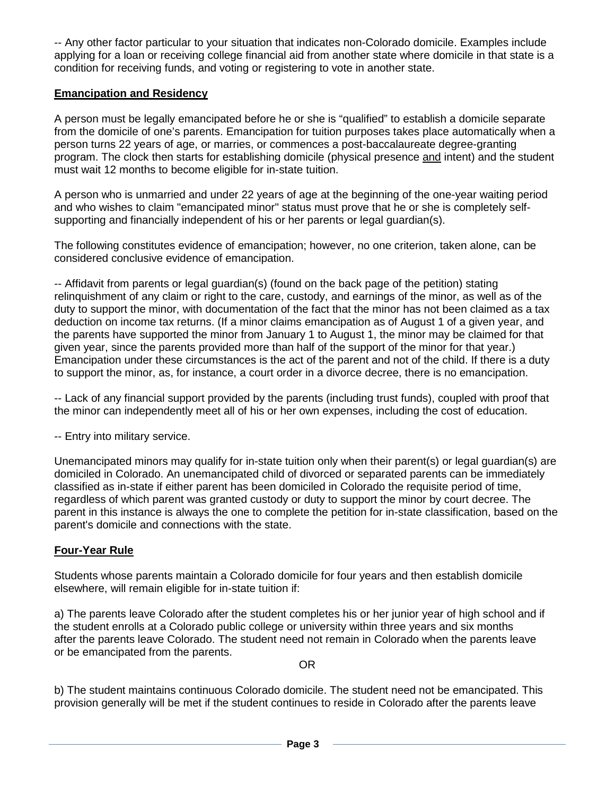-- Any other factor particular to your situation that indicates non-Colorado domicile. Examples include applying for a loan or receiving college financial aid from another state where domicile in that state is a condition for receiving funds, and voting or registering to vote in another state.

# **Emancipation and Residency**

A person must be legally emancipated before he or she is "qualified" to establish a domicile separate from the domicile of one's parents. Emancipation for tuition purposes takes place automatically when a person turns 22 years of age, or marries, or commences a post-baccalaureate degree-granting program. The clock then starts for establishing domicile (physical presence and intent) and the student must wait 12 months to become eligible for in-state tuition.

A person who is unmarried and under 22 years of age at the beginning of the one-year waiting period and who wishes to claim "emancipated minor" status must prove that he or she is completely selfsupporting and financially independent of his or her parents or legal guardian(s).

The following constitutes evidence of emancipation; however, no one criterion, taken alone, can be considered conclusive evidence of emancipation.

-- Affidavit from parents or legal guardian(s) (found on the back page of the petition) stating relinquishment of any claim or right to the care, custody, and earnings of the minor, as well as of the duty to support the minor, with documentation of the fact that the minor has not been claimed as a tax deduction on income tax returns. (If a minor claims emancipation as of August 1 of a given year, and the parents have supported the minor from January 1 to August 1, the minor may be claimed for that given year, since the parents provided more than half of the support of the minor for that year.) Emancipation under these circumstances is the act of the parent and not of the child. If there is a duty to support the minor, as, for instance, a court order in a divorce decree, there is no emancipation.

-- Lack of any financial support provided by the parents (including trust funds), coupled with proof that the minor can independently meet all of his or her own expenses, including the cost of education.

-- Entry into military service.

Unemancipated minors may qualify for in-state tuition only when their parent(s) or legal guardian(s) are domiciled in Colorado. An unemancipated child of divorced or separated parents can be immediately classified as in-state if either parent has been domiciled in Colorado the requisite period of time, regardless of which parent was granted custody or duty to support the minor by court decree. The parent in this instance is always the one to complete the petition for in-state classification, based on the parent's domicile and connections with the state.

#### **Four-Year Rule**

Students whose parents maintain a Colorado domicile for four years and then establish domicile elsewhere, will remain eligible for in-state tuition if:

a) The parents leave Colorado after the student completes his or her junior year of high school and if the student enrolls at a Colorado public college or university within three years and six months after the parents leave Colorado. The student need not remain in Colorado when the parents leave or be emancipated from the parents.

OR

b) The student maintains continuous Colorado domicile. The student need not be emancipated. This provision generally will be met if the student continues to reside in Colorado after the parents leave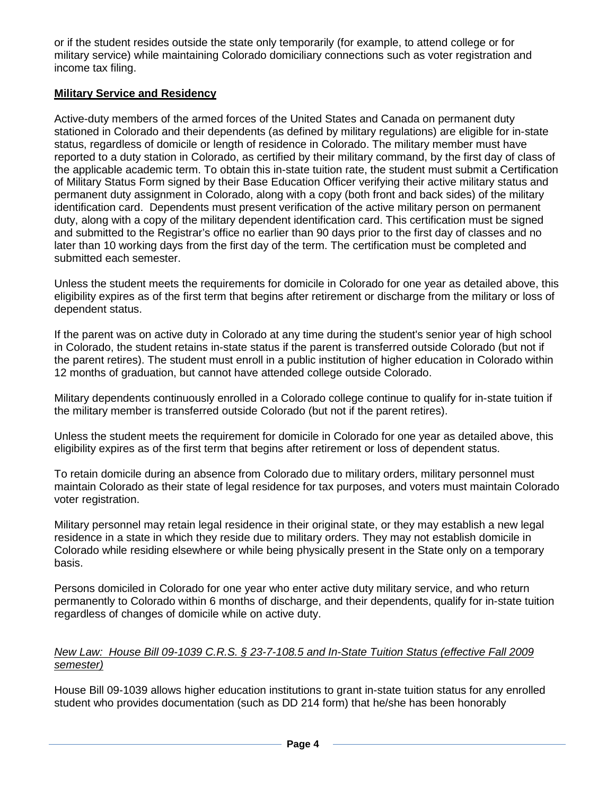or if the student resides outside the state only temporarily (for example, to attend college or for military service) while maintaining Colorado domiciliary connections such as voter registration and income tax filing.

## **Military Service and Residency**

Active-duty members of the armed forces of the United States and Canada on permanent duty stationed in Colorado and their dependents (as defined by military regulations) are eligible for in-state status, regardless of domicile or length of residence in Colorado. The military member must have reported to a duty station in Colorado, as certified by their military command, by the first day of class of the applicable academic term. To obtain this in-state tuition rate, the student must submit a Certification of Military Status Form signed by their Base Education Officer verifying their active military status and permanent duty assignment in Colorado, along with a copy (both front and back sides) of the military identification card. Dependents must present verification of the active military person on permanent duty, along with a copy of the military dependent identification card. This certification must be signed and submitted to the Registrar's office no earlier than 90 days prior to the first day of classes and no later than 10 working days from the first day of the term. The certification must be completed and submitted each semester.

Unless the student meets the requirements for domicile in Colorado for one year as detailed above, this eligibility expires as of the first term that begins after retirement or discharge from the military or loss of dependent status.

If the parent was on active duty in Colorado at any time during the student's senior year of high school in Colorado, the student retains in-state status if the parent is transferred outside Colorado (but not if the parent retires). The student must enroll in a public institution of higher education in Colorado within 12 months of graduation, but cannot have attended college outside Colorado.

Military dependents continuously enrolled in a Colorado college continue to qualify for in-state tuition if the military member is transferred outside Colorado (but not if the parent retires).

Unless the student meets the requirement for domicile in Colorado for one year as detailed above, this eligibility expires as of the first term that begins after retirement or loss of dependent status.

To retain domicile during an absence from Colorado due to military orders, military personnel must maintain Colorado as their state of legal residence for tax purposes, and voters must maintain Colorado voter registration.

Military personnel may retain legal residence in their original state, or they may establish a new legal residence in a state in which they reside due to military orders. They may not establish domicile in Colorado while residing elsewhere or while being physically present in the State only on a temporary basis.

Persons domiciled in Colorado for one year who enter active duty military service, and who return permanently to Colorado within 6 months of discharge, and their dependents, qualify for in-state tuition regardless of changes of domicile while on active duty.

#### *New Law: House Bill 09-1039 C.R.S. § 23-7-108.5 and In-State Tuition Status (effective Fall 2009 semester)*

House Bill 09-1039 allows higher education institutions to grant in-state tuition status for any enrolled student who provides documentation (such as DD 214 form) that he/she has been honorably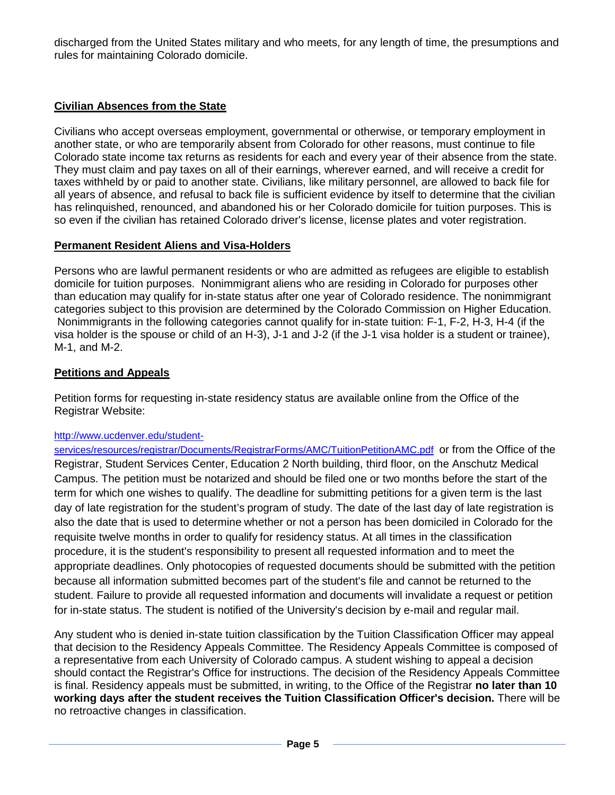discharged from the United States military and who meets, for any length of time, the presumptions and rules for maintaining Colorado domicile.

# **Civilian Absences from the State**

Civilians who accept overseas employment, governmental or otherwise, or temporary employment in another state, or who are temporarily absent from Colorado for other reasons, must continue to file Colorado state income tax returns as residents for each and every year of their absence from the state. They must claim and pay taxes on all of their earnings, wherever earned, and will receive a credit for taxes withheld by or paid to another state. Civilians, like military personnel, are allowed to back file for all years of absence, and refusal to back file is sufficient evidence by itself to determine that the civilian has relinquished, renounced, and abandoned his or her Colorado domicile for tuition purposes. This is so even if the civilian has retained Colorado driver's license, license plates and voter registration.

#### **Permanent Resident Aliens and Visa-Holders**

Persons who are lawful permanent residents or who are admitted as refugees are eligible to establish domicile for tuition purposes. Nonimmigrant aliens who are residing in Colorado for purposes other than education may qualify for in-state status after one year of Colorado residence. The nonimmigrant categories subject to this provision are determined by the Colorado Commission on Higher Education. Nonimmigrants in the following categories cannot qualify for in-state tuition: F-1, F-2, H-3, H-4 (if the visa holder is the spouse or child of an H-3), J-1 and J-2 (if the J-1 visa holder is a student or trainee), M-1, and M-2.

# **Petitions and Appeals**

Petition forms for requesting in-state residency status are available online from the Office of the Registrar Website:

#### [http://www.ucdenver.edu/student-](http://www.ucdenver.edu/student-services/resources/registrar/Documents/RegistrarForms/AMC/TuitionPetitionAMC.pdf)

[services/resources/registrar/Documents/RegistrarForms/AMC/TuitionPetitionAMC.pdf](http://www.ucdenver.edu/student-services/resources/registrar/Documents/RegistrarForms/AMC/TuitionPetitionAMC.pdf) or from the Office of the Registrar, Student Services Center, Education 2 North building, third floor, on the Anschutz Medical Campus. The petition must be notarized and should be filed one or two months before the start of the term for which one wishes to qualify. The deadline for submitting petitions for a given term is the last day of late registration for the student's program of study. The date of the last day of late registration is also the date that is used to determine whether or not a person has been domiciled in Colorado for the requisite twelve months in order to qualify for residency status. At all times in the classification procedure, it is the student's responsibility to present all requested information and to meet the appropriate deadlines. Only photocopies of requested documents should be submitted with the petition because all information submitted becomes part of the student's file and cannot be returned to the student. Failure to provide all requested information and documents will invalidate a request or petition for in-state status. The student is notified of the University's decision by e-mail and regular mail.

Any student who is denied in-state tuition classification by the Tuition Classification Officer may appeal that decision to the Residency Appeals Committee. The Residency Appeals Committee is composed of a representative from each University of Colorado campus. A student wishing to appeal a decision should contact the Registrar's Office for instructions. The decision of the Residency Appeals Committee is final. Residency appeals must be submitted, in writing, to the Office of the Registrar **no later than 10 working days after the student receives the Tuition Classification Officer's decision.** There will be no retroactive changes in classification.